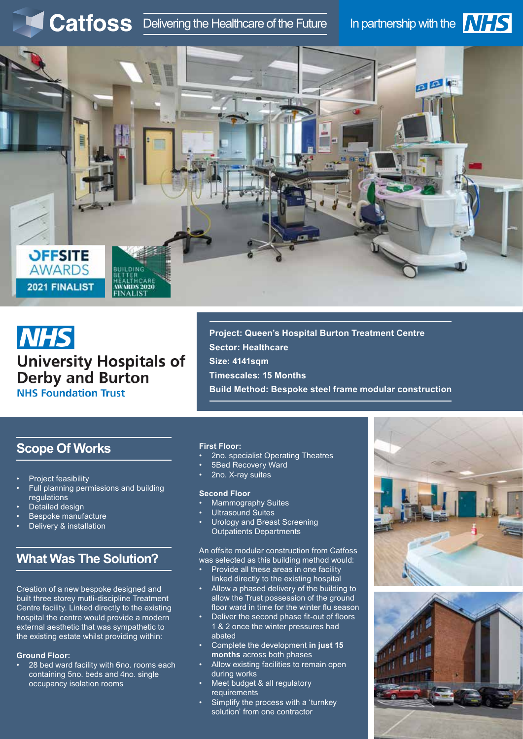# Catfoss Delivering the Healthcare of the Future In partnership with the **NHS**





# **NHS University Hospitals of Derby and Burton NHS Foundation Trust**

**Project: Queen's Hospital Burton Treatment Centre Sector: Healthcare Size: 4141sqm Timescales: 15 Months Build Method: Bespoke steel frame modular construction**

# **Scope Of Works**

- Project feasibility
- Full planning permissions and building regulations
- Detailed design
- Bespoke manufacture
- Delivery & installation

# **What Was The Solution?**

Creation of a new bespoke designed and built three storey mutli-discipline Treatment Centre facility. Linked directly to the existing hospital the centre would provide a modern external aesthetic that was sympathetic to the existing estate whilst providing within:

#### **Ground Floor:**

• 28 bed ward facility with 6no. rooms each containing 5no. beds and 4no. single occupancy isolation rooms

#### **First Floor:**

- 2no. specialist Operating Theatres
- 5Bed Recovery Ward
- 2no. X-ray suites

#### **Second Floor**

- Mammography Suites
- Ultrasound Suites
- Urology and Breast Screening Outpatients Departments

An offsite modular construction from Catfoss was selected as this building method would:

- Provide all these areas in one facility linked directly to the existing hospital
- Allow a phased delivery of the building to allow the Trust possession of the ground floor ward in time for the winter flu season
- Deliver the second phase fit-out of floors 1 & 2 once the winter pressures had abated
- Complete the development **in just 15 months** across both phases
- Allow existing facilities to remain open during works
- Meet budget & all regulatory requirements
- Simplify the process with a 'turnkey solution' from one contractor